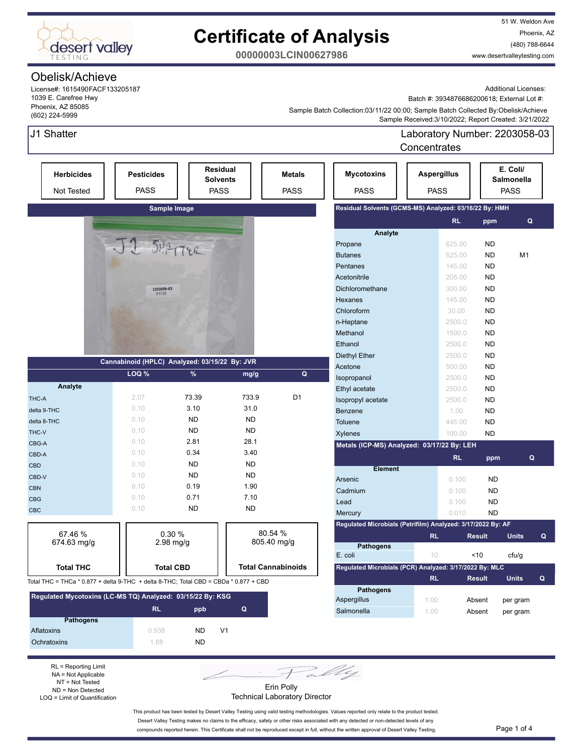

51 W. Weldon Ave Phoenix, AZ (480) 788-6644 www.desertvalleytesting.com

**00000003LCIN00627986**

### Obelisk/Achieve

J1 Shatter

License#: 1615490FACF133205187 1039 E. Carefree Hwy Phoenix, AZ 85085 (602) 224-5999

Additional Licenses:

Batch #: 3934876686200618; External Lot #:

Laboratory Number: 2203058-03

 Sample Received:3/10/2022; Report Created: 3/21/2022 Sample Batch Collection:03/11/22 00:00; Sample Batch Collected By:Obelisk/Achieve

|                                                                                      |                                               |           |                                                   |                              |                                                             | Concentrates                      |                     |                                       |   |
|--------------------------------------------------------------------------------------|-----------------------------------------------|-----------|---------------------------------------------------|------------------------------|-------------------------------------------------------------|-----------------------------------|---------------------|---------------------------------------|---|
| <b>Herbicides</b><br><b>Not Tested</b>                                               | <b>Pesticides</b><br><b>PASS</b>              |           | <b>Residual</b><br><b>Solvents</b><br><b>PASS</b> | <b>Metals</b><br><b>PASS</b> | <b>Mycotoxins</b><br><b>PASS</b>                            | <b>Aspergillus</b><br><b>PASS</b> |                     | E. Coli/<br>Salmonella<br><b>PASS</b> |   |
|                                                                                      | Sample Image                                  |           |                                                   |                              | Residual Solvents (GCMS-MS) Analyzed: 03/16/22 By: HMH      |                                   |                     |                                       |   |
|                                                                                      |                                               |           |                                                   |                              |                                                             |                                   | <b>RL</b><br>ppm    |                                       | Q |
|                                                                                      |                                               |           |                                                   |                              | Analyte                                                     |                                   |                     |                                       |   |
|                                                                                      | JJ SHATTER                                    |           |                                                   |                              | Propane                                                     |                                   | 625.00<br><b>ND</b> |                                       |   |
|                                                                                      |                                               |           |                                                   |                              | <b>Butanes</b>                                              |                                   | <b>ND</b><br>625.00 | M1                                    |   |
|                                                                                      |                                               |           |                                                   |                              | Pentanes                                                    |                                   | 145.00<br><b>ND</b> |                                       |   |
|                                                                                      |                                               |           |                                                   |                              | Acetonitrile                                                |                                   | <b>ND</b><br>205.00 |                                       |   |
|                                                                                      | 2203058-03<br>3/11/22                         |           |                                                   |                              | Dichloromethane                                             |                                   | <b>ND</b><br>300.00 |                                       |   |
|                                                                                      |                                               |           |                                                   |                              | Hexanes                                                     |                                   | <b>ND</b><br>145.00 |                                       |   |
|                                                                                      |                                               |           |                                                   |                              | Chloroform                                                  |                                   | <b>ND</b><br>30.00  |                                       |   |
|                                                                                      |                                               |           |                                                   |                              | n-Heptane                                                   |                                   | <b>ND</b><br>2500.0 |                                       |   |
|                                                                                      |                                               |           |                                                   |                              | Methanol                                                    |                                   | <b>ND</b><br>1500.0 |                                       |   |
|                                                                                      |                                               |           |                                                   |                              | Ethanol                                                     |                                   | 2500.0<br><b>ND</b> |                                       |   |
|                                                                                      | Cannabinoid (HPLC) Analyzed: 03/15/22 By: JVR |           |                                                   |                              | <b>Diethyl Ether</b>                                        |                                   | <b>ND</b><br>2500.0 |                                       |   |
|                                                                                      |                                               |           |                                                   |                              | Acetone                                                     |                                   | 500.00<br><b>ND</b> |                                       |   |
|                                                                                      | LOQ %                                         | $\%$      | mg/g                                              | Q                            | Isopropanol                                                 |                                   | <b>ND</b><br>2500.0 |                                       |   |
| Analyte                                                                              |                                               |           |                                                   |                              | Ethyl acetate                                               |                                   | <b>ND</b><br>2500.0 |                                       |   |
| THC-A                                                                                | 2.07                                          | 73.39     | 733.9                                             | D <sub>1</sub>               | Isopropyl acetate                                           |                                   | <b>ND</b><br>2500.0 |                                       |   |
| delta 9-THC                                                                          | 0.10                                          | 3.10      | 31.0                                              |                              | Benzene                                                     |                                   | <b>ND</b><br>1.00   |                                       |   |
| delta 8-THC                                                                          | 0.10                                          | <b>ND</b> | <b>ND</b>                                         |                              | <b>Toluene</b>                                              |                                   | <b>ND</b><br>445.00 |                                       |   |
| THC-V                                                                                | 0.10                                          | <b>ND</b> | <b>ND</b>                                         |                              | <b>Xylenes</b>                                              |                                   | <b>ND</b><br>100.00 |                                       |   |
| CBG-A                                                                                | 0.10                                          | 2.81      | 28.1                                              |                              | Metals (ICP-MS) Analyzed: 03/17/22 By: LEH                  |                                   |                     |                                       |   |
| CBD-A                                                                                | 0.10                                          | 0.34      | 3.40                                              |                              |                                                             |                                   | <b>RL</b><br>ppm    |                                       | Q |
| <b>CBD</b>                                                                           | 0.10                                          | <b>ND</b> | <b>ND</b>                                         |                              | <b>Element</b>                                              |                                   |                     |                                       |   |
| CBD-V                                                                                | 0.10                                          | <b>ND</b> | <b>ND</b>                                         |                              | Arsenic                                                     |                                   | 0.100<br><b>ND</b>  |                                       |   |
| <b>CBN</b>                                                                           | 0.10                                          | 0.19      | 1.90                                              |                              | Cadmium                                                     |                                   | <b>ND</b><br>0.100  |                                       |   |
| <b>CBG</b>                                                                           | 0.10                                          | 0.71      | 7.10                                              |                              | Lead                                                        |                                   | <b>ND</b><br>0.100  |                                       |   |
| CBC                                                                                  | 0.10                                          | <b>ND</b> | <b>ND</b>                                         |                              | Mercury                                                     |                                   | 0.010<br><b>ND</b>  |                                       |   |
|                                                                                      |                                               |           |                                                   |                              | Regulated Microbials (Petrifilm) Analyzed: 3/17/2022 By: AF |                                   |                     |                                       |   |
| 67.46 %                                                                              | 0.30%                                         |           |                                                   | 80.54 %                      |                                                             | <b>RL</b>                         | <b>Result</b>       | <b>Units</b>                          | Q |
| $674.63$ mg/g                                                                        | $2.98$ mg/g                                   |           |                                                   | 805.40 mg/g                  | <b>Pathogens</b>                                            |                                   |                     |                                       |   |
|                                                                                      |                                               |           |                                                   |                              | E. coli                                                     | 10                                | <10                 | cfu/g                                 |   |
| <b>Total THC</b>                                                                     | <b>Total CBD</b>                              |           |                                                   | <b>Total Cannabinoids</b>    | Regulated Microbials (PCR) Analyzed: 3/17/2022 By: MLC      |                                   |                     |                                       |   |
| Total THC = THCa * 0.877 + delta 9-THC + delta 8-THC; Total CBD = CBDa * 0.877 + CBD |                                               |           |                                                   |                              |                                                             | <b>RL</b>                         | <b>Result</b>       | <b>Units</b>                          | Q |
| Regulated Mycotoxins (LC-MS TQ) Analyzed: 03/15/22 By: KSG                           |                                               |           |                                                   |                              | <b>Pathogens</b>                                            |                                   |                     |                                       |   |
|                                                                                      |                                               |           |                                                   |                              | Aspergillus                                                 | 1.00                              | Absent              | per gram                              |   |
| <b>Pathogens</b>                                                                     | <b>RL</b>                                     | ppb       | Q                                                 |                              | Salmonella                                                  | 1.00                              | Absent              | per gram                              |   |
|                                                                                      |                                               |           |                                                   |                              |                                                             |                                   |                     |                                       |   |

RL = Reporting Limit NA = Not Applicable NT = Not Tested ND = Non Detected LOQ = Limit of Quantification

Aflatoxins 0.938 ND V1 Ochratoxins ND



Technical Laboratory Director

This product has been tested by Desert Valley Testing using valid testing methodologies. Values reported only relate to the product tested. Desert Valley Testing makes no claims to the efficacy, safety or other risks associated with any detected or non-detected levels of any compounds reported herein. This Certificate shall not be reproduced except in full, without the written approval of Desert Valley Testing. Page 1 of 4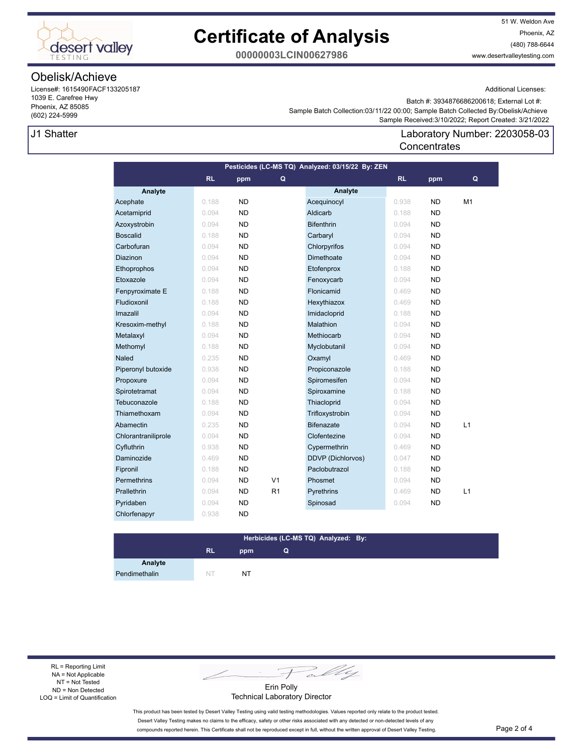

51 W. Weldon Ave Phoenix, AZ (480) 788-6644 www.desertvalleytesting.com

**00000003LCIN00627986**

### Obelisk/Achieve

License#: 1615490FACF133205187 1039 E. Carefree Hwy Phoenix, AZ 85085 (602) 224-5999

### J1 Shatter

Additional Licenses:

 Sample Received:3/10/2022; Report Created: 3/21/2022 Sample Batch Collection:03/11/22 00:00; Sample Batch Collected By:Obelisk/Achieve Batch #: 3934876686200618; External Lot #:

### Laboratory Number: 2203058-03 **Concentrates**

| Pesticides (LC-MS TQ) Analyzed: 03/15/22 By: ZEN |           |           |                |                          |           |           |    |  |
|--------------------------------------------------|-----------|-----------|----------------|--------------------------|-----------|-----------|----|--|
|                                                  | <b>RL</b> | ppm       | Q              |                          | <b>RL</b> | ppm       | Q  |  |
| Analyte                                          |           |           |                | Analyte                  |           |           |    |  |
| Acephate                                         | 0.188     | <b>ND</b> |                | Acequinocyl              | 0.938     | <b>ND</b> | M1 |  |
| Acetamiprid                                      | 0.094     | <b>ND</b> |                | Aldicarb                 | 0.188     | <b>ND</b> |    |  |
| Azoxystrobin                                     | 0.094     | <b>ND</b> |                | <b>Bifenthrin</b>        | 0.094     | <b>ND</b> |    |  |
| <b>Boscalid</b>                                  | 0.188     | <b>ND</b> |                | Carbaryl                 | 0.094     | <b>ND</b> |    |  |
| Carbofuran                                       | 0.094     | <b>ND</b> |                | Chlorpyrifos             | 0.094     | ND.       |    |  |
| <b>Diazinon</b>                                  | 0.094     | <b>ND</b> |                | Dimethoate               | 0.094     | <b>ND</b> |    |  |
| Ethoprophos                                      | 0.094     | <b>ND</b> |                | Etofenprox               | 0.188     | <b>ND</b> |    |  |
| Etoxazole                                        | 0.094     | <b>ND</b> |                | Fenoxycarb               | 0.094     | ND.       |    |  |
| Fenpyroximate E                                  | 0.188     | ND        |                | Flonicamid               | 0.469     | ND.       |    |  |
| Fludioxonil                                      | 0.188     | <b>ND</b> |                | Hexythiazox              | 0.469     | <b>ND</b> |    |  |
| Imazalil                                         | 0.094     | <b>ND</b> |                | Imidacloprid             | 0.188     | ND.       |    |  |
| Kresoxim-methyl                                  | 0.188     | <b>ND</b> |                | Malathion                | 0.094     | <b>ND</b> |    |  |
| Metalaxyl                                        | 0.094     | <b>ND</b> |                | Methiocarb               | 0.094     | <b>ND</b> |    |  |
| Methomyl                                         | 0.188     | <b>ND</b> |                | Myclobutanil             | 0.094     | <b>ND</b> |    |  |
| <b>Naled</b>                                     | 0.235     | <b>ND</b> |                | Oxamyl                   | 0.469     | <b>ND</b> |    |  |
| Piperonyl butoxide                               | 0.938     | <b>ND</b> |                | Propiconazole            | 0.188     | ND.       |    |  |
| Propoxure                                        | 0.094     | <b>ND</b> |                | Spiromesifen             | 0.094     | <b>ND</b> |    |  |
| Spirotetramat                                    | 0.094     | <b>ND</b> |                | Spiroxamine              | 0.188     | <b>ND</b> |    |  |
| Tebuconazole                                     | 0.188     | <b>ND</b> |                | Thiacloprid              | 0.094     | ND.       |    |  |
| Thiamethoxam                                     | 0.094     | <b>ND</b> |                | Trifloxystrobin          | 0.094     | <b>ND</b> |    |  |
| Abamectin                                        | 0.235     | <b>ND</b> |                | <b>Bifenazate</b>        | 0.094     | <b>ND</b> | L1 |  |
| Chlorantraniliprole                              | 0.094     | <b>ND</b> |                | Clofentezine             | 0.094     | ND.       |    |  |
| Cyfluthrin                                       | 0.938     | <b>ND</b> |                | Cypermethrin             | 0.469     | ND.       |    |  |
| Daminozide                                       | 0.469     | <b>ND</b> |                | <b>DDVP</b> (Dichlorvos) | 0.047     | <b>ND</b> |    |  |
| Fipronil                                         | 0.188     | <b>ND</b> |                | Paclobutrazol            | 0.188     | <b>ND</b> |    |  |
| <b>Permethrins</b>                               | 0.094     | <b>ND</b> | V <sub>1</sub> | Phosmet                  | 0.094     | <b>ND</b> |    |  |
| Prallethrin                                      | 0.094     | <b>ND</b> | R <sub>1</sub> | Pyrethrins               | 0.469     | <b>ND</b> | L1 |  |
| Pyridaben                                        | 0.094     | <b>ND</b> |                | Spinosad                 | 0.094     | ND.       |    |  |
| Chlorfenapyr                                     | 0.938     | ND        |                |                          |           |           |    |  |

#### **RL ppm Herbicides (LC-MS TQ) Analyzed: By: Q**

Pendimethalin NT NT NT

**Analyte**

RL = Reporting Limit NA = Not Applicable NT = Not Tested ND = Non Detected LOQ = Limit of Quantification

Fally

Erin Polly Technical Laboratory Director

This product has been tested by Desert Valley Testing using valid testing methodologies. Values reported only relate to the product tested. Desert Valley Testing makes no claims to the efficacy, safety or other risks associated with any detected or non-detected levels of any compounds reported herein. This Certificate shall not be reproduced except in full, without the written approval of Desert Valley Testing. Page 2 of 4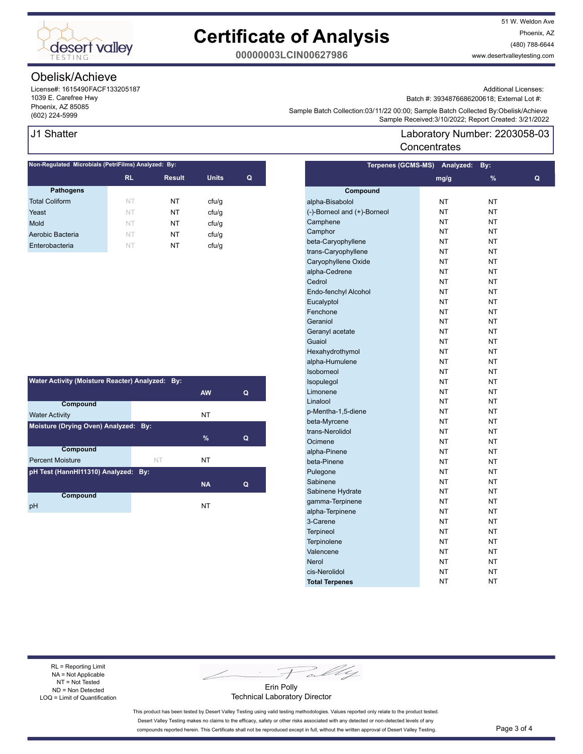

51 W. Weldon Ave Phoenix, AZ (480) 788-6644 www.desertvalleytesting.com

**00000003LCIN00627986**

### Obelisk/Achieve

License#: 1615490FACF133205187 1039 E. Carefree Hwy Phoenix, AZ 85085

### J1 Shatter

| Non-Regulated Microbials (PetriFilms) Analyzed: By: |           |               |              |   |  |  |
|-----------------------------------------------------|-----------|---------------|--------------|---|--|--|
|                                                     | <b>RL</b> | <b>Result</b> | <b>Units</b> | Q |  |  |
| <b>Pathogens</b>                                    |           |               |              |   |  |  |
| <b>Total Coliform</b>                               | NT        | NΤ            | cfu/q        |   |  |  |
| Yeast                                               | <b>NT</b> | NΤ            | ctu/g        |   |  |  |
| Mold                                                | NT.       | NΤ            | cfu/q        |   |  |  |
| Aerobic Bacteria                                    | NT        | NΤ            | cfu/q        |   |  |  |
| Enterobacteria                                      | NT        | NT            | cfu/q        |   |  |  |
|                                                     |           |               |              |   |  |  |

| Water Activity (Moisture Reacter) Analyzed: By: |    |           |   |  |  |
|-------------------------------------------------|----|-----------|---|--|--|
|                                                 |    | <b>AW</b> | Q |  |  |
| Compound                                        |    |           |   |  |  |
| <b>Water Activity</b>                           |    | NT        |   |  |  |
| Moisture (Drying Oven) Analyzed: By:            |    |           |   |  |  |
|                                                 |    | %         | Q |  |  |
| <b>Compound</b>                                 |    |           |   |  |  |
| <b>Percent Moisture</b>                         | NT | NT        |   |  |  |
| pH Test (HannHI11310) Analyzed: By:             |    |           |   |  |  |
|                                                 |    | <b>NA</b> | Q |  |  |
| Compound                                        |    |           |   |  |  |
| pH                                              |    | NT        |   |  |  |

Additional Licenses:

Batch #: 3934876686200618; External Lot #:

Sample Batter Collection.03/11/22 00.00, Sample Batter Collection (602)<br>Sample Received:3/10/2022; Report Created: 3/21/2022 Sample Batch Collection:03/11/22 00:00; Sample Batch Collected By:Obelisk/Achieve

### Laboratory Number: 2203058-03 **Concentrates**

| <b>Terpenes (GCMS-MS)</b>   | Analyzed: | By:       |   |
|-----------------------------|-----------|-----------|---|
|                             | mg/g      | %         | Q |
| Compound                    |           |           |   |
| alpha-Bisabolol             | <b>NT</b> | NT        |   |
| (-)-Borneol and (+)-Borneol | <b>NT</b> | NT        |   |
| Camphene                    | <b>NT</b> | NT        |   |
| Camphor                     | <b>NT</b> | NT        |   |
| beta-Caryophyllene          | <b>NT</b> | <b>NT</b> |   |
| trans-Caryophyllene         | <b>NT</b> | <b>NT</b> |   |
| Caryophyllene Oxide         | <b>NT</b> | <b>NT</b> |   |
| alpha-Cedrene               | <b>NT</b> | NΤ        |   |
| Cedrol                      | <b>NT</b> | <b>NT</b> |   |
| Endo-fenchyl Alcohol        | <b>NT</b> | NT        |   |
| Eucalyptol                  | <b>NT</b> | NT        |   |
| Fenchone                    | <b>NT</b> | NΤ        |   |
| Geraniol                    | <b>NT</b> | NT        |   |
| Geranyl acetate             | <b>NT</b> | NT        |   |
| Guaiol                      | <b>NT</b> | ΝT        |   |
| Hexahydrothymol             | <b>NT</b> | NΤ        |   |
| alpha-Humulene              | <b>NT</b> | NT        |   |
| <b>Isoborneol</b>           | NT        | NT        |   |
| Isopulegol                  | <b>NT</b> | NT        |   |
| Limonene                    | <b>NT</b> | <b>NT</b> |   |
| Linalool                    | <b>NT</b> | <b>NT</b> |   |
| p-Mentha-1,5-diene          | <b>NT</b> | NT        |   |
| beta-Myrcene                | <b>NT</b> | NT        |   |
| trans-Nerolidol             | <b>NT</b> | NT        |   |
| Ocimene                     | <b>NT</b> | NT        |   |
| alpha-Pinene                | <b>NT</b> | NT        |   |
| beta-Pinene                 | <b>NT</b> | NT        |   |
| Pulegone                    | <b>NT</b> | NT        |   |
| Sabinene                    | <b>NT</b> | <b>NT</b> |   |
| Sabinene Hydrate            | <b>NT</b> | NT        |   |
| gamma-Terpinene             | NT        | NT        |   |
| alpha-Terpinene             | <b>NT</b> | NΤ        |   |
| 3-Carene                    | <b>NT</b> | NT        |   |
| <b>Terpineol</b>            | <b>NT</b> | NΤ        |   |
| Terpinolene                 | <b>NT</b> | ΝT        |   |
| Valencene                   | <b>NT</b> | ΝT        |   |
| <b>Nerol</b>                | ΝT        | ΝT        |   |
| cis-Nerolidol               | <b>NT</b> | ΝT        |   |
| <b>Total Terpenes</b>       | NT        | NΤ        |   |

RL = Reporting Limit NA = Not Applicable NT = Not Tested ND = Non Detected LOQ = Limit of Quantification

Fally

Erin Polly Technical Laboratory Director

This product has been tested by Desert Valley Testing using valid testing methodologies. Values reported only relate to the product tested. Desert Valley Testing makes no claims to the efficacy, safety or other risks associated with any detected or non-detected levels of any compounds reported herein. This Certificate shall not be reproduced except in full, without the written approval of Desert Valley Testing. Page 3 of 4